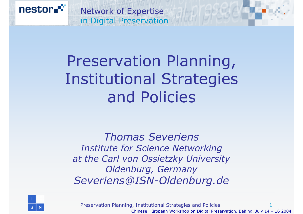

#### Preservation Planning, Institutional Strategies and Policies

*Thomas SeveriensInstitute for Science Networking at the Carl von Ossietzky University Oldenburg, Germany Severiens@ISN-Oldenburg.de*



Preservation Planning, Institutional Strategies and Policies 1 Chinese European Workshop on Digital Preservation, Beijing, July  $14 - 16$  2004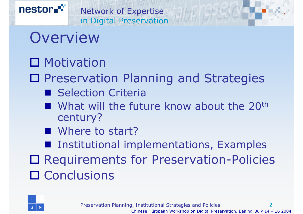

#### Overview

nestor

#### □ Motivation

□ Preservation Planning and Strategies

- Selection Criteria
- What will the future know about the 20<sup>th</sup> century?
- Where to start?

**Institutional implementations, Examples** 

□ Requirements for Preservation-Policies □ Conclusions

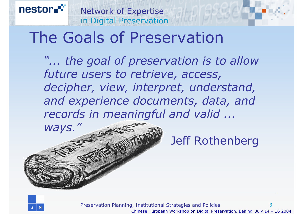#### The Goals of Preservation

*"... the goal of preservation is to allow future users to retrieve, access, decipher, view, interpret, understand, and experience documents, data, and records in meaningful and valid ...* 

Jeff Rothenberg



nestor.

*ways."*

Preservation Planning, Institutional Strategies and Policies 3 Chinese European Workshop on Digital Preservation, Beijing, July  $14 - 16$  2004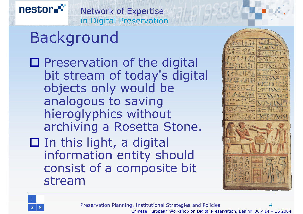#### Background

 $\square$  Preservation of the digital bit stream of today's digital objects only would be analogous to saving hieroglyphics without archiving a Rosetta Stone.  $\square$  In this light, a digital information entity should

consist of a composite bit





nestor.

stream

Preservation Planning, Institutional Strategies and Policies 4 Chinese European Workshop on Digital Preservation, Beijing, July  $14 - 16$  2004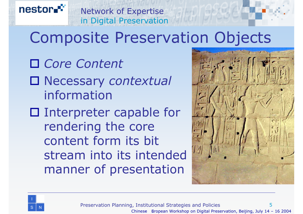#### Composite Preservation Objects

Network of Expertise

in Digital Preservation

 *Core Content* Necessary *contextual* information□ Interpreter capable for rendering the core content form its bit stream into its intended manner of presentation





Preservation Planning, Institutional Strategies and Policies 5 Chinese European Workshop on Digital Preservation, Beijing, July  $14 - 16$  2004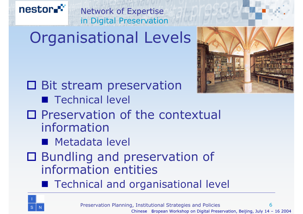# Organisational Levels

Network of Expertise

in Digital Preservation

- □ Bit stream preservation **Technical level**
- $\square$  Preservation of the contextual information
	- **Metadata level**
- □ Bundling and preservation of information entities
	- **Technical and organisational level**



nestor.<sup>c</sup>



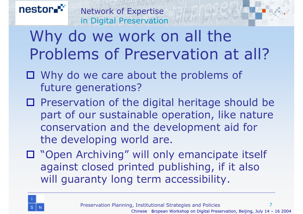#### nestor Network of Expertise in Digital Preservation Why do we work on all the Problems of Preservation at all?

- □ Why do we care about the problems of future generations?
- $\square$  Preservation of the digital heritage should be part of our sustainable operation, like nature conservation and the development aid for the developing world are.
- □ "Open Archiving" will only emancipate itself against closed printed publishing, if it also will guaranty long term accessibility.

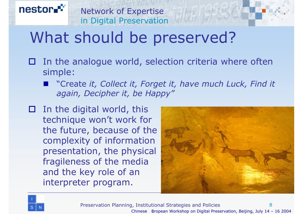# What should be preserved?

Network of Expertise

in Digital Preservation

- $\square$  In the analogue world, selection criteria where often simple:
	- "Create *it, Collect it, Forget it, have much Luck, Find it again, Decipher it, be Happy"*
- $\square$  In the digital world, this technique won't work for the future, because of the complexity of information presentation, the physical fragileness of the media and the key role of an interpreter program.





nestor.

Preservation Planning, Institutional Strategies and Policies 8 Chinese European Workshop on Digital Preservation, Beijing, July  $14 - 16$  2004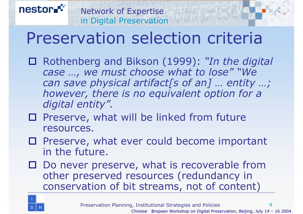#### Preservation selection criteria

Network of Expertise

in Digital Preservation

- Rothenberg and Bikson (1999): *"In the digital case …, we must choose what to lose" "We can save physical artifact[s of an] … entity …; however, there is no equivalent option for a digital entity".*
- $\square$  Preserve, what will be linked from future resources.
- $\square$  Preserve, what ever could become important in the future.
- □ Do never preserve, what is recoverable from other preserved resources (redundancy in conservation of bit streams, not of content)

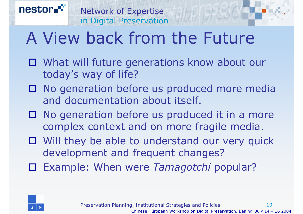# A View back from the Future

- □ What will future generations know about our today's way of life?
- □ No generation before us produced more media and documentation about itself.
- $\square$  No generation before us produced it in a more complex context and on more fragile media.
- Will they be able to understand our very quick development and frequent changes?
- Example: When were *Tamagotchi* popular?

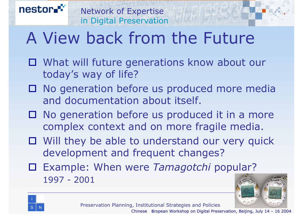# A View back from the Future

- □ What will future generations know about our today's way of life?
- □ No generation before us produced more media and documentation about itself.
- $\square$  No generation before us produced it in a more complex context and on more fragile media.
- Will they be able to understand our very quick development and frequent changes?
- Example: When were *Tamagotchi* popular? 1997 - 2001



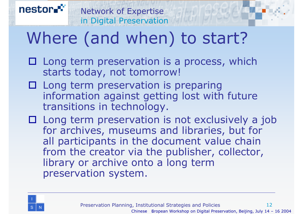

## Where (and when) to start?

- $\square$  Long term preservation is a process, which starts today, not tomorrow!
- □ Long term preservation is preparing information against getting lost with future transitions in technology.
- $\square$  Long term preservation is not exclusively a job for archives, museums and libraries, but for all participants in the document value chain from the creator via the publisher, collector, library or archive onto a long term preservation system.

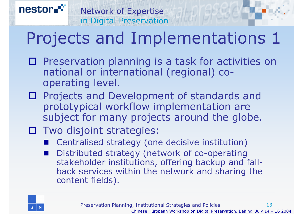## Projects and Implementations 1

Network of Expertise

in Digital Preservation

- $\square$  Preservation planning is a task for activities on national or international (regional) cooperating level.
- □ Projects and Development of standards and prototypical workflow implementation are subject for many projects around the globe.
- Two disjoint strategies:
	- Centralised strategy (one decisive institution)
	- Distributed strategy (network of co-operating stakeholder institutions, offering backup and fallback services within the network and sharing the content fields).

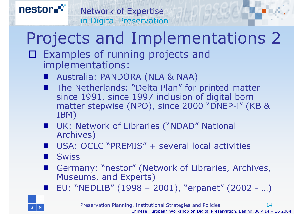#### in Digital Preservation Projects and Implementations 2

 Examples of running projects and implementations:

Network of Expertise

- Australia: PANDORA (NLA & NAA)
- The Netherlands: "Delta Plan" for printed matter since 1991, since 1997 inclusion of digital born matter stepwise (NPO), since 2000 "DNEP-i" (KB & IBM)
- UK: Network of Libraries ("NDAD" National Archives)
- USA: OCLC "PREMIS" + several local activities
- **Swiss**
- Germany: "nestor" (Network of Libraries, Archives, Museums, and Experts)
- EU: "NEDLIB" (1998 – 2001), "erpanet" (2002 - …)

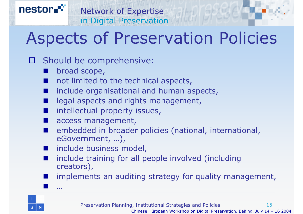#### Aspects of Preservation Policies

#### O Should be comprehensive:

- broad scope,
- not limited to the technical aspects,
- include organisational and human aspects,
- legal aspects and rights management,
- intellectual property issues,
- access management,
- **Service Service**  embedded in broader policies (national, international, eGovernment, …),
- **Service Service** include business model,
- include training for all people involved (including creators),
- **Service Service** implements an auditing strategy for quality management,



nestor

…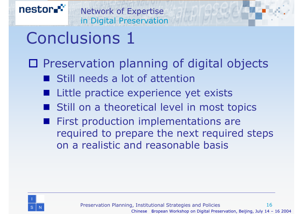# Conclusions 1

#### □ Preservation planning of digital objects

- **Still needs a lot of attention**
- Little practice experience yet exists
- Still on a theoretical level in most topics
- First production implementations are required to prepare the next required steps on a realistic and reasonable basis

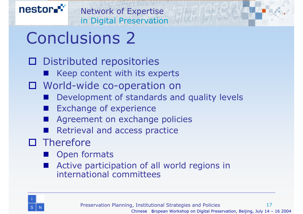# Conclusions 2

- Distributed repositories
	- Keep content with its experts
- World-wide co-operation on
	- Development of standards and quality levels
	- Exchange of experience
	- Agreement on exchange policies
	- Retrieval and access practice
- $\square$  Therefore
	- Open formats
	- **Service Service**  Active participation of all world regions in international committees

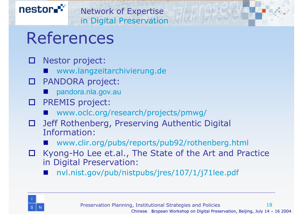

#### References

- $\Box$  Nestor project:
	- www.langzeitarchivierung.de
- 0 PANDORA project:
	- **Service Service** pandora.nla.gov.au
- PREMIS project:
	- www.oclc.org/research/projects/pmwg/
- $\blacksquare$  Jeff Rothenberg, Preserving Authentic Digital Information:
	- www.clir.org/pubs/reports/pub92/rothenberg.html
- □ Kyong-Ho Lee et.al., The State of the Art and Practice in Digital Preservation:
	- **Contract Contract Contract Contract Contract Contract Contract Contract Contract Contract Contract Contract Co** nvl.nist.gov/pub/nistpubs/jres/107/1/j71lee.pdf